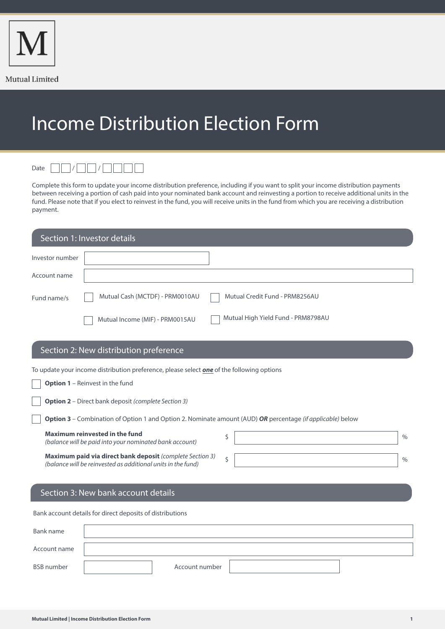

## Income Distribution Election Form



 $\gamma$  /  $\gamma$  /  $\gamma$  /  $\gamma$  /  $\gamma$ 

Complete this form to update your income distribution preference, including if you want to split your income distribution payments between receiving a portion of cash paid into your nominated bank account and reinvesting a portion to receive additional units in the fund. Please note that if you elect to reinvest in the fund, you will receive units in the fund from which you are receiving a distribution payment.

| Section 1: Investor details                                                                                |  |  |  |
|------------------------------------------------------------------------------------------------------------|--|--|--|
|                                                                                                            |  |  |  |
|                                                                                                            |  |  |  |
|                                                                                                            |  |  |  |
|                                                                                                            |  |  |  |
|                                                                                                            |  |  |  |
| To update your income distribution preference, please select one of the following options                  |  |  |  |
| <b>Option 1</b> - Reinvest in the fund                                                                     |  |  |  |
| <b>Option 2</b> - Direct bank deposit (complete Section 3)                                                 |  |  |  |
| Option 3 - Combination of Option 1 and Option 2. Nominate amount (AUD) OR percentage (if applicable) below |  |  |  |
| $\frac{0}{0}$                                                                                              |  |  |  |
| $\frac{0}{0}$                                                                                              |  |  |  |
|                                                                                                            |  |  |  |
|                                                                                                            |  |  |  |
| Bank account details for direct deposits of distributions                                                  |  |  |  |
|                                                                                                            |  |  |  |
|                                                                                                            |  |  |  |

Account number

Account name

BSB number